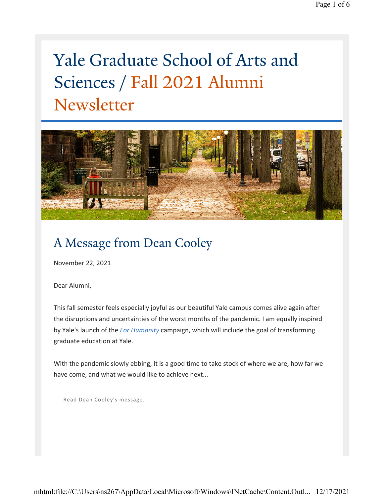# Yale Graduate School of Arts and Sciences / Fall 2021 Alumni Newsletter



# A Message from Dean Cooley

November 22, 2021

Dear Alumni,

This fall semester feels especially joyful as our beautiful Yale campus comes alive again after the disruptions and uncertainties of the worst months of the pandemic. I am equally inspired by Yale's launch of the *[For Humanity](https://forhumanity.yale.edu/)* campaign, which will include the goal of transforming graduate education at Yale.

With the pandemic slowly ebbing, it is a good time to take stock of where we are, how far we have come, and what we would like to achieve next...

[Read Dean Cooley's message.](https://gsas.yale.edu/news/message-alumni-dean-cooley)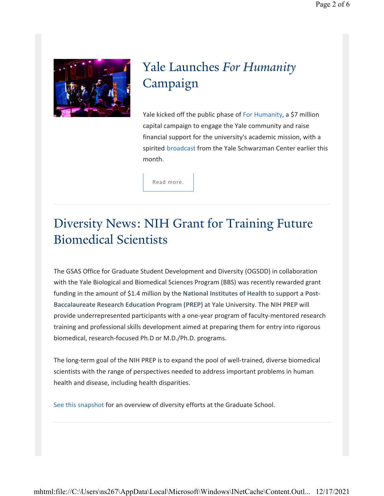

# Yale Launches *For Humanity* Campaign

Yale kicked off the public phase of [For Humanity,](https://forhumanity.yale.edu/) a \$7 million capital campaign to engage the Yale community and raise financial support for the university's academic mission, with a spirited [broadcast](https://news.yale.edu/2021/10/04/yale-community-logs-humanity-campaign-launch) from the Yale Schwarzman Center earlier this month.

[Read more](https://forhumanity.yale.edu/).

### Diversity News: NIH Grant for Training Future Biomedical Scientists

The GSAS Office for Graduate Student Development and Diversity (OGSDD) in collaboration with the Yale Biological and Biomedical Sciences Program (BBS) was recently rewarded grant funding in the amount of \$1.4 million by the **National Institutes of Health** to support a **Post-Baccalaureate Research Education Program (PREP)** at Yale University. The NIH PREP will provide underrepresented participants with a one-year program of faculty-mentored research training and professional skills development aimed at preparing them for entry into rigorous biomedical, research-focused Ph.D or M.D./Ph.D. programs.

The long-term goal of the NIH PREP is to expand the pool of well-trained, diverse biomedical scientists with the range of perspectives needed to address important problems in human health and disease, including health disparities.

[See this snapshot](https://gsas.yale.edu/sites/default/files/files-forms/belongingatyale_unitplan_gsas_poster_mn2.pdf) for an overview of diversity efforts at the Graduate School.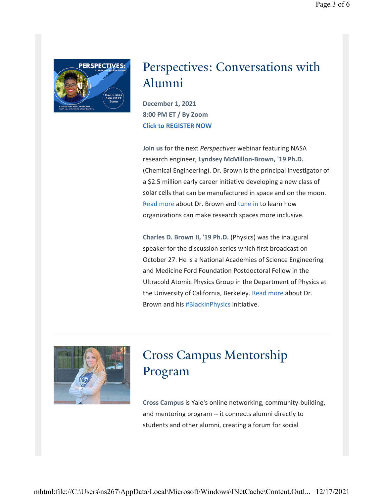

### Perspectives: Conversations with Alumni

**December 1, 2021 8:00 PM ET / By Zoom Click to REGISTER NOW**

**Join us** for the next *Perspectives* webinar featuring NASA research engineer, **Lyndsey McMillon-Brown, '19 Ph.D.**  (Chemical Engineering). Dr. Brown is the principal investigator of a \$2.5 million early career initiative developing a new class of solar cells that can be manufactured in space and on the moon. Read more about Dr. Brown and tune in to learn how organizations can make research spaces more inclusive.

**Charles D. Brown II, '19 Ph.D.** (Physics) was the inaugural speaker for the discussion series which first broadcast on October 27. He is a National Academies of Science Engineering and Medicine Ford Foundation Postdoctoral Fellow in the Ultracold Atomic Physics Group in the Department of Physics at the University of California, Berkeley. Read more about Dr. Brown and his #BlackinPhysics initiative.



# Cross Campus Mentorship Program

**Cross Campus** is Yale's online networking, community-building, and mentoring program -- it connects alumni directly to students and other alumni, creating a forum for social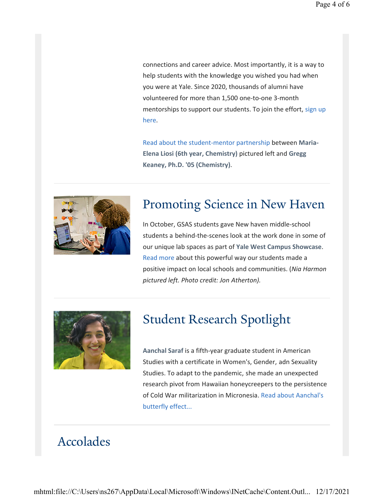connections and career advice. Most importantly, it is a way to help students with the knowledge you wished you had when you were at Yale. Since 2020, thousands of alumni have volunteered for more than 1,500 one-to-one 3-month mentorships to support our students. To join the effort, sign up here.

[Read about the student-mentor partnership](https://gsas.yale.edu/news/student-mentor-cross-campus-partnership) between **Maria-Elena Liosi (6th year, Chemistry)** pictured left and **Gregg Keaney, Ph.D. '05 (Chemistry)**.



### Promoting Science in New Haven

In October, GSAS students gave New haven middle-school students a behind-the-scenes look at the work done in some of our unique lab spaces as part of **Yale West Campus Showcase**. [Read more](https://news.yale.edu/2021/11/15/guided-light-eye-cant-see-local-students-envision-future-stem) about this powerful way our students made a positive impact on local schools and communities. (*Nia Harmon pictured left. Photo credit: Jon Atherton).*



### Student Research Spotlight

**Aanchal Saraf** is a fifth-year graduate student in American Studies with a certificate in Women's, Gender, adn Sexuality Studies. To adapt to the pandemic, she made an unexpected research pivot from Hawaiian honeycreepers to the persistence [of Cold War militarization in Micronesia.](https://gsas.yale.edu/news/meet-aanchal-saraf) Read about Aanchal's butterfly effect...

# Accolades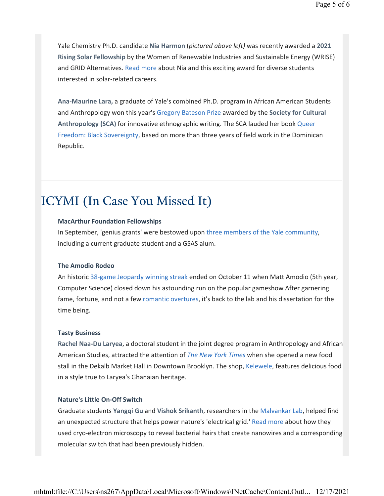Yale Chemistry Ph.D. candidate **Nia Harmon** (*pictured above left)* was recently awarded a **2021 Rising Solar Fellowship** by the Women of Renewable Industries and Sustainable Energy (WRISE) and GRID Alternatives. [Read more](https://gsas.yale.edu/news/yale-chemistry-phd-candidate-receives-prestigious-solar-fellowship) about Nia and this exciting award for diverse students interested in solar-related careers.

**Ana-Maurine Lara,** a graduate of Yale's combined Ph.D. program in African American Students and Anthropology won this year's [Gregory Bateson Prize](https://culanth.org/engagements/prizes) awarded by the **Society for Cultural Anthropology (SCA)** for innovative ethnographic writing. The SCA lauded her book Queer [Freedom: Black Sovereignty, based on more than three years of field work in the Dominic](https://www.sunypress.edu/p-6976-queer-freedom-black-sovereignt.aspx)an Republic.

#### ICYMI (In Case You Missed It)

#### **MacArthur Foundation Fellowships**

In September, 'genius grants' were bestowed upon [three members of the](https://news.yale.edu/2021/09/29/three-yale-affiliates-win-macarthur-genius-grants-their-creativity) Yale community, including a current graduate student and a GSAS alum.

#### **The Amodio Rodeo**

An historic [38-game Jeopardy](https://www.cnn.com/2021/10/12/entertainment/jeopardy-matt-amodio-winning-streak-ends/index.html) winning streak ended on October 11 when Matt Amodio (5th year, Computer Science) closed down his astounding run on the popular gameshow After garnering fame, fortune, and not a few [romantic overtures,](https://www.newsweek.com/matt-amodio-romance-jeopardy-1639057) it's back to the lab and his dissertation for the time being.

#### **Tasty Business**

**Rachel Naa-Du Laryea**, a doctoral student in the joint degree program in Anthropology and African American Studies, attracted the attention of *The New York [Times](https://www-nytimes-com.cdn.ampproject.org/c/s/www.nytimes.com/2021/07/19/dining/kelewele-plantain-restaurant.amp.html)* when she opened a new food stall in the Dekalb Market Hall in Downtown Brooklyn. The shop, [Kelewele](https://www.kelewelenyc.com/about-us), features delicious food in a style true to Laryea's Ghanaian heritage.

#### **Nature's Little On-Off Switch**

Graduate students **Yangqi Gu** and **Vishok Srikanth**, researchers in the [Malvankar](https://malvankarlab.yale.edu/) Lab, helped find an unexpected structure that helps power nature's 'electrical grid.' Read [more](https://news.yale.edu/2021/09/01/hidden-bacterial-hairs-power-natures-electric-grid?utm_source=YaleToday&utm_medium=Email&utm_campaign) about how they used cryo-electron microscopy to reveal bacterial hairs that create nanowires and a corresponding molecular switch that had been previously hidden.